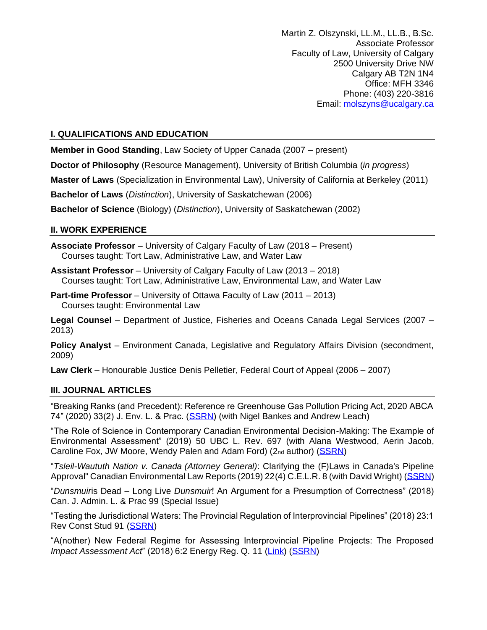Martin Z. Olszynski, LL.M., LL.B., B.Sc. Associate Professor Faculty of Law, University of Calgary 2500 University Drive NW Calgary AB T2N 1N4 Office: MFH 3346 Phone: (403) 220-3816 Email: [molszyns@ucalgary.ca](mailto:molszyns@ucalgary.ca)

# **I. QUALIFICATIONS AND EDUCATION**

**Member in Good Standing**, Law Society of Upper Canada (2007 – present)

**Doctor of Philosophy** (Resource Management), University of British Columbia (*in progress*)

**Master of Laws** (Specialization in Environmental Law), University of California at Berkeley (2011)

**Bachelor of Laws** (*Distinction*), University of Saskatchewan (2006)

**Bachelor of Science** (Biology) (*Distinction*), University of Saskatchewan (2002)

### **II. WORK EXPERIENCE**

**Associate Professor** – University of Calgary Faculty of Law (2018 – Present) Courses taught: Tort Law, Administrative Law, and Water Law

**Assistant Professor** – University of Calgary Faculty of Law (2013 – 2018) Courses taught: Tort Law, Administrative Law, Environmental Law, and Water Law

**Part-time Professor** – University of Ottawa Faculty of Law (2011 – 2013) Courses taught: Environmental Law

**Legal Counsel** – Department of Justice, Fisheries and Oceans Canada Legal Services (2007 – 2013)

**Policy Analyst** – Environment Canada, Legislative and Regulatory Affairs Division (secondment, 2009)

**Law Clerk** – Honourable Justice Denis Pelletier, Federal Court of Appeal (2006 – 2007)

### **III. JOURNAL ARTICLES**

"Breaking Ranks (and Precedent): Reference re Greenhouse Gas Pollution Pricing Act, 2020 ABCA 74" (2020) 33(2) J. Env. L. & Prac. [\(SSRN\)](https://ssrn.com/abstract=3581893) (with Nigel Bankes and Andrew Leach)

"The Role of Science in Contemporary Canadian Environmental Decision-Making: The Example of Environmental Assessment" (2019) 50 UBC L. Rev. 697 (with Alana Westwood, Aerin Jacob, Caroline Fox, JW Moore, Wendy Palen and Adam Ford) (2nd author) [\(SSRN\)](https://papers.ssrn.com/sol3/papers.cfm?abstract_id=3309943)

"*Tsleil-Waututh Nation v. Canada (Attorney General)*: Clarifying the (F)Laws in Canada's Pipeline Approval" Canadian Environmental Law Reports (2019) 22(4) C.E.L.R. 8 (with David Wright) [\(SSRN\)](https://papers.ssrn.com/sol3/papers.cfm?abstract_id=3388976)

"*Dunsmuir*is Dead – Long Live *Dunsmuir*! An Argument for a Presumption of Correctness" (2018) Can. J. Admin. L. & Prac 99 (Special Issue)

"Testing the Jurisdictional Waters: The Provincial Regulation of Interprovincial Pipelines" (2018) 23:1 Rev Const Stud 91 [\(SSRN\)](https://papers.ssrn.com/sol3/papers.cfm?abstract_id=3223896)

"A(nother) New Federal Regime for Assessing Interprovincial Pipeline Projects: The Proposed *Impact Assessment Act*" (2018) 6:2 Energy Reg. Q. 11 [\(Link\)](http://www.energyregulationquarterly.ca/articles/another-new-federal-regime-for-assessing-interprovincial-pipeline-projects-the-proposed-impact-assessment-act#sthash.lspnL6xs.dpbs) [\(SSRN\)](https://ssrn.com/abstract=3191470)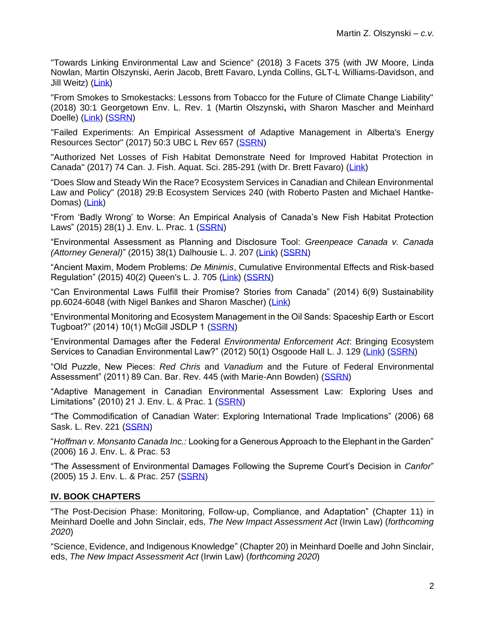"Towards Linking Environmental Law and Science" (2018) 3 Facets 375 (with JW Moore, Linda Nowlan, Martin Olszynski, Aerin Jacob, Brett Favaro, Lynda Collins, GLT-L Williams-Davidson, and Jill Weitz) [\(Link\)](http://www.facetsjournal.com/doi/10.1139/facets-2017-0106)

"From Smokes to Smokestacks: Lessons from Tobacco for the Future of Climate Change Liability" (2018) 30:1 Georgetown Env. L. Rev. 1 (Martin Olszynski**,** with Sharon Mascher and Meinhard Doelle) [\(Link\)](https://www.law.georgetown.edu/environmental-law-review/wp-content/uploads/sites/18/2018/05/30-1-From-Smokes-to-Smokestacks-Lessons-from-Tobacco-for-the-Future-of-Climate-Change-Liability.pdf) [\(SSRN\)](https://ssrn.com/abstract=2957921)

"Failed Experiments: An Empirical Assessment of Adaptive Management in Alberta's Energy Resources Sector" (2017) 50:3 UBC L Rev 657 [\(SSRN\)](https://ssrn.com/abstract=2909040)

"Authorized Net Losses of Fish Habitat Demonstrate Need for Improved Habitat Protection in Canada" (2017) 74 Can. J. Fish. Aquat. Sci. 285-291 (with Dr. Brett Favaro) [\(Link\)](http://www.nrcresearchpress.com/doi/10.1139/cjfas-2016-0480#.W3MuOMJG270)

"Does Slow and Steady Win the Race? Ecosystem Services in Canadian and Chilean Environmental Law and Policy" (2018) 29:B Ecosystem Services 240 (with Roberto Pasten and Michael Hantke-Domas) [\(Link\)](https://www.sciencedirect.com/science/article/pii/S2212041616304867)

"From 'Badly Wrong' to Worse: An Empirical Analysis of Canada's New Fish Habitat Protection Laws" (2015) 28(1) J. Env. L. Prac. 1 [\(SSRN\)](https://ssrn.com/abstract=2652539)

"Environmental Assessment as Planning and Disclosure Tool: *Greenpeace Canada v. Canada (Attorney General)*" (2015) 38(1) Dalhousie L. J. 207 [\(Link\)](https://ojs.library.dal.ca/DLJ/article/view/6348) [\(SSRN\)](https://ssrn.com/abstract=2560934)

"Ancient Maxim, Modern Problems: *De Minimis*, Cumulative Environmental Effects and Risk-based Regulation" (2015) 40(2) Queen's L. J. 705 [\(Link\)](https://www.queensu.ca/lawjournal/sites/webpublish.queensu.ca.qljwww/files/files/issues/pastissues/Volume40-1/09-Olszynski.pdf) [\(SSRN\)](https://ssrn.com/abstract=2528068)

"Can Environmental Laws Fulfill their Promise? Stories from Canada" (2014) 6(9) Sustainability pp.6024-6048 (with Nigel Bankes and Sharon Mascher) [\(Link\)](http://www.mdpi.com/2071-1050/6/9/6024)

"Environmental Monitoring and Ecosystem Management in the Oil Sands: Spaceship Earth or Escort Tugboat?" (2014) 10(1) McGill JSDLP 1 [\(SSRN\)](https://ssrn.com/abstract=2289962)

"Environmental Damages after the Federal *Environmental Enforcement Act*: Bringing Ecosystem Services to Canadian Environmental Law?" (2012) 50(1) Osgoode Hall L. J. 129 [\(Link\)](http://digitalcommons.osgoode.yorku.ca/ohlj/vol50/iss1/4/) [\(SSRN\)](https://ssrn.com/abstract=2289951)

"Old Puzzle, New Pieces: *Red Chris* and *Vanadium* and the Future of Federal Environmental Assessment" (2011) 89 Can. Bar. Rev. 445 (with Marie-Ann Bowden) [\(SSRN\)](https://ssrn.com/abstract=2290305)

"Adaptive Management in Canadian Environmental Assessment Law: Exploring Uses and Limitations" (2010) 21 J. Env. L. & Prac. 1 [\(SSRN\)](https://ssrn.com/abstract=2289938)

"The Commodification of Canadian Water: Exploring International Trade Implications" (2006) 68 Sask. L. Rev. 221 [\(SSRN\)](https://ssrn.com/abstract=2290307)

"*Hoffman v. Monsanto Canada Inc.:* Looking for a Generous Approach to the Elephant in the Garden" (2006) 16 J. Env. L. & Prac. 53

"The Assessment of Environmental Damages Following the Supreme Court's Decision in *Canfor*" (2005) 15 J. Env. L. & Prac. 257 [\(SSRN\)](https://ssrn.com/abstract=2290310)

### **IV. BOOK CHAPTERS**

"The Post-Decision Phase: Monitoring, Follow-up, Compliance, and Adaptation" (Chapter 11) in Meinhard Doelle and John Sinclair, eds, *The New Impact Assessment Act* (Irwin Law) (*forthcoming 2020*)

"Science, Evidence, and Indigenous Knowledge" (Chapter 20) in Meinhard Doelle and John Sinclair, eds, *The New Impact Assessment Act* (Irwin Law) (*forthcoming 2020*)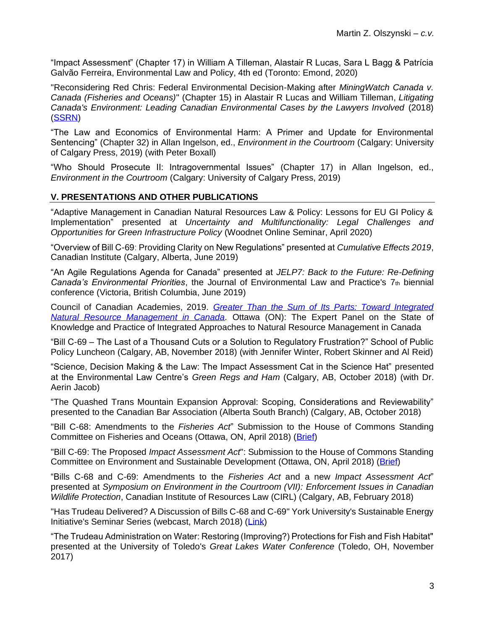"Impact Assessment" (Chapter 17) in William A Tilleman, Alastair R Lucas, Sara L Bagg & Patrícia Galvão Ferreira, Environmental Law and Policy, 4th ed (Toronto: Emond, 2020)

"Reconsidering Red Chris: Federal Environmental Decision-Making after *MiningWatch Canada v. Canada (Fisheries and Oceans)*" (Chapter 15) in Alastair R Lucas and William Tilleman, *Litigating Canada's Environment: Leading Canadian Environmental Cases by the Lawyers Involved* (2018) [\(SSRN\)](https://ssrn.com/abstract=2970751)

"The Law and Economics of Environmental Harm: A Primer and Update for Environmental Sentencing" (Chapter 32) in Allan Ingelson, ed., *Environment in the Courtroom* (Calgary: University of Calgary Press, 2019) (with Peter Boxall)

"Who Should Prosecute II: Intragovernmental Issues" (Chapter 17) in Allan Ingelson, ed., *Environment in the Courtroom* (Calgary: University of Calgary Press, 2019)

# **V. PRESENTATIONS AND OTHER PUBLICATIONS**

"Adaptive Management in Canadian Natural Resources Law & Policy: Lessons for EU GI Policy & Implementation" presented at *Uncertainty and Multifunctionality: Legal Challenges and Opportunities for Green Infrastructure Policy* (Woodnet Online Seminar, April 2020)

"Overview of Bill C-69: Providing Clarity on New Regulations" presented at *Cumulative Effects 2019*, Canadian Institute (Calgary, Alberta, June 2019)

"An Agile Regulations Agenda for Canada" presented at *JELP7: Back to the Future: Re-Defining Canada's Environmental Priorities*, the Journal of Environmental Law and Practice's 7th biennial conference (Victoria, British Columbia, June 2019)

Council of Canadian Academies, 2019. *[Greater Than the Sum of Its Parts: Toward Integrated](https://cca-reports.ca/reports/the-state-of-knowledge-and-practice-of-integrated-approaches-to-natural-resource-management-in-canada/)  Natural Resource Management in Canada*. Ottawa (ON): The Expert Panel on the State of Knowledge and Practice of Integrated Approaches to Natural Resource Management in Canada

"Bill C-69 – The Last of a Thousand Cuts or a Solution to Regulatory Frustration?" School of Public Policy Luncheon (Calgary, AB, November 2018) (with Jennifer Winter, Robert Skinner and Al Reid)

"Science, Decision Making & the Law: The Impact Assessment Cat in the Science Hat" presented at the Environmental Law Centre's *Green Regs and Ham* (Calgary, AB, October 2018) (with Dr. Aerin Jacob)

"The Quashed Trans Mountain Expansion Approval: Scoping, Considerations and Reviewability" presented to the Canadian Bar Association (Alberta South Branch) (Calgary, AB, October 2018)

"Bill C-68: Amendments to the *Fisheries Act*" Submission to the House of Commons Standing Committee on Fisheries and Oceans (Ottawa, ON, April 2018) [\(Brief\)](http://www.ourcommons.ca/Content/HOC/Committee/421/FOPO/Brief/BR9866428/br-external/Olszynski,%20Martin-e.pdf)

"Bill C-69: The Proposed *Impact Assessment Act*": Submission to the House of Commons Standing Committee on Environment and Sustainable Development (Ottawa, ON, April 2018) [\(Brief\)](http://www.ourcommons.ca/Content/HOC/Committee/421/ENVI/Brief/BR9762653/br-external/OlszynskiUniversityOfCalgary-e.pdf)

"Bills C-68 and C-69: Amendments to the *Fisheries Act* and a new *Impact Assessment Act*" presented at *Symposium on Environment in the Courtroom (VII): Enforcement Issues in Canadian Wildlife Protection*, Canadian Institute of Resources Law (CIRL) (Calgary, AB, February 2018)

"Has Trudeau Delivered? A Discussion of Bills C-68 and C-69" York University's Sustainable Energy Initiative's Seminar Series (webcast, March 2018) [\(Link\)](https://www.youtube.com/watch?v=rkLUFu_3ygI)

"The Trudeau Administration on Water: Restoring (Improving?) Protections for Fish and Fish Habitat" presented at the University of Toledo's *Great Lakes Water Conference* (Toledo, OH, November 2017)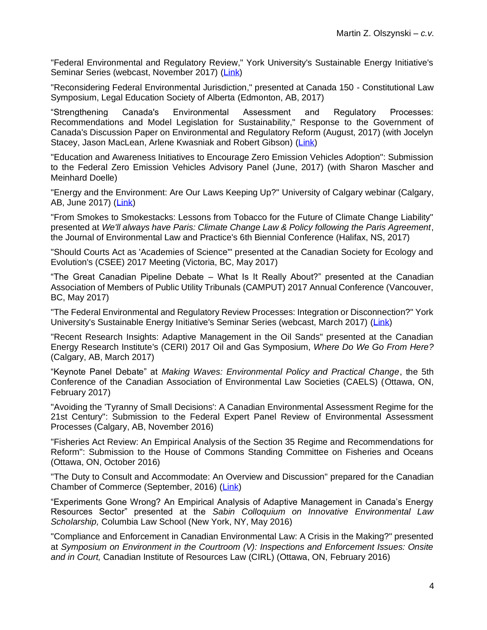"Federal Environmental and Regulatory Review," York University's Sustainable Energy Initiative's Seminar Series (webcast, November 2017) [\(Link\)](https://www.youtube.com/watch?v=t9l9KJOuDfc&feature=youtu.be)

"Reconsidering Federal Environmental Jurisdiction," presented at Canada 150 - Constitutional Law Symposium, Legal Education Society of Alberta (Edmonton, AB, 2017)

"Strengthening Canada's Environmental Assessment and Regulatory Processes: Recommendations and Model Legislation for Sustainability," Response to the Government of Canada's Discussion Paper on Environmental and Regulatory Reform (August, 2017) (with Jocelyn Stacey, Jason MacLean, Arlene Kwasniak and Robert Gibson) [\(Link\)](https://www.google.com/url?sa=t&rct=j&q=&esrc=s&source=web&cd=5&cad=rja&uact=8&ved=2ahUKEwi387K8q-3cAhUKiVQKHULvASUQFjAEegQIARAC&url=https%3A%2F%2Fs3.ca-central-1.amazonaws.com%2Fehq-production-canada%2Ffile_answers%2Ffiles%2F28b387fc534e5697ef3120eb00dfc1288a80262a%2F004%2F713%2F091%2Foriginal%2FStrengthening_EnviroLaw_Response_Paper_%252818Aug2017%2529.pdf&usg=AOvVaw1Pwk_Exn77WckzuZWHxkfQ)

"Education and Awareness Initiatives to Encourage Zero Emission Vehicles Adoption": Submission to the Federal Zero Emission Vehicles Advisory Panel (June, 2017) (with Sharon Mascher and Meinhard Doelle)

"Energy and the Environment: Are Our Laws Keeping Up?" University of Calgary webinar (Calgary, AB, June 2017) [\(Link\)](https://explore.ucalgary.ca/energy-and-environment-are-our-laws-keeping)

"From Smokes to Smokestacks: Lessons from Tobacco for the Future of Climate Change Liability" presented at *We'll always have Paris: Climate Change Law & Policy following the Paris Agreement*, the Journal of Environmental Law and Practice's 6th Biennial Conference (Halifax, NS, 2017)

"Should Courts Act as 'Academies of Science'" presented at the Canadian Society for Ecology and Evolution's (CSEE) 2017 Meeting (Victoria, BC, May 2017)

"The Great Canadian Pipeline Debate – What Is It Really About?" presented at the Canadian Association of Members of Public Utility Tribunals (CAMPUT) 2017 Annual Conference (Vancouver, BC, May 2017)

"The Federal Environmental and Regulatory Review Processes: Integration or Disconnection?" York University's Sustainable Energy Initiative's Seminar Series (webcast, March 2017) [\(Link\)](https://youtu.be/4xh13acqXe4)

"Recent Research Insights: Adaptive Management in the Oil Sands" presented at the Canadian Energy Research Institute's (CERI) 2017 Oil and Gas Symposium, *Where Do We Go From Here?* (Calgary, AB, March 2017)

"Keynote Panel Debate" at *Making Waves: Environmental Policy and Practical Change*, the 5th Conference of the Canadian Association of Environmental Law Societies (CAELS) (Ottawa, ON, February 2017)

"Avoiding the 'Tyranny of Small Decisions': A Canadian Environmental Assessment Regime for the 21st Century": Submission to the Federal Expert Panel Review of Environmental Assessment Processes (Calgary, AB, November 2016)

"Fisheries Act Review: An Empirical Analysis of the Section 35 Regime and Recommendations for Reform": Submission to the House of Commons Standing Committee on Fisheries and Oceans (Ottawa, ON, October 2016)

"The Duty to Consult and Accommodate: An Overview and Discussion" prepared for the Canadian Chamber of Commerce (September, 2016) [\(Link\)](https://www.google.com/url?sa=t&rct=j&q=&esrc=s&source=web&cd=1&ved=2ahUKEwiF88aMsu3cAhVEilQKHQt7DdEQFjAAegQIARAC&url=http%3A%2F%2Fwww.chamber.ca%2Fdownload.aspx%3Ft%3D0%26pid%3Dfe59e29c-777a-e611-b1a1-005056a00b05&usg=AOvVaw0fk-_wjGDM_PPYDvnbwlzn)

"Experiments Gone Wrong? An Empirical Analysis of Adaptive Management in Canada's Energy Resources Sector" presented at the *Sabin Colloquium on Innovative Environmental Law Scholarship,* Columbia Law School (New York, NY, May 2016)

"Compliance and Enforcement in Canadian Environmental Law: A Crisis in the Making?" presented at *Symposium on Environment in the Courtroom (V): Inspections and Enforcement Issues: Onsite and in Court,* Canadian Institute of Resources Law (CIRL) (Ottawa, ON, February 2016)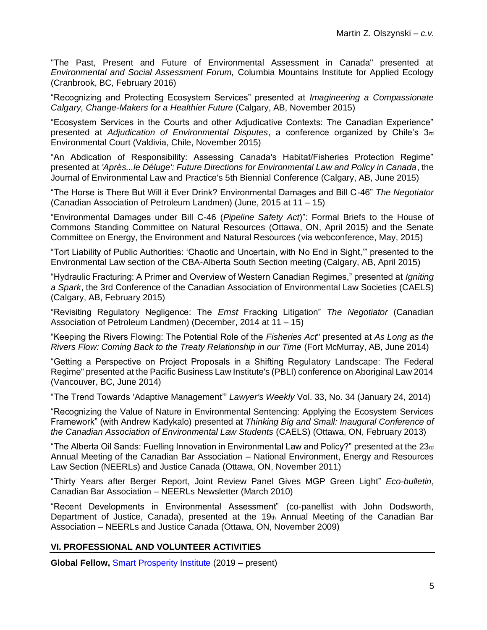"The Past, Present and Future of Environmental Assessment in Canada" presented at *Environmental and Social Assessment Forum,* Columbia Mountains Institute for Applied Ecology (Cranbrook, BC, February 2016)

"Recognizing and Protecting Ecosystem Services" presented at *Imagineering a Compassionate Calgary, Change-Makers for a Healthier Future* (Calgary, AB, November 2015)

"Ecosystem Services in the Courts and other Adjudicative Contexts: The Canadian Experience" presented at *Adjudication of Environmental Disputes*, a conference organized by Chile's 3rd Environmental Court (Valdivia, Chile, November 2015)

"An Abdication of Responsibility: Assessing Canada's Habitat/Fisheries Protection Regime" presented at *'Après...le Déluge': Future Directions for Environmental Law and Policy in Canada*, the Journal of Environmental Law and Practice's 5th Biennial Conference (Calgary, AB, June 2015)

"The Horse is There But Will it Ever Drink? Environmental Damages and Bill C-46" *The Negotiator*  (Canadian Association of Petroleum Landmen) (June, 2015 at 11 – 15)

"Environmental Damages under Bill C-46 (*Pipeline Safety Act*)": Formal Briefs to the House of Commons Standing Committee on Natural Resources (Ottawa, ON, April 2015) and the Senate Committee on Energy, the Environment and Natural Resources (via webconference, May, 2015)

"Tort Liability of Public Authorities: 'Chaotic and Uncertain, with No End in Sight,'" presented to the Environmental Law section of the CBA-Alberta South Section meeting (Calgary, AB, April 2015)

"Hydraulic Fracturing: A Primer and Overview of Western Canadian Regimes," presented at *Igniting a Spark*, the 3rd Conference of the Canadian Association of Environmental Law Societies (CAELS) (Calgary, AB, February 2015)

"Revisiting Regulatory Negligence: The *Ernst* Fracking Litigation" *The Negotiator* (Canadian Association of Petroleum Landmen) (December, 2014 at 11 – 15)

"Keeping the Rivers Flowing: The Potential Role of the *Fisheries Act*" presented at *As Long as the Rivers Flow: Coming Back to the Treaty Relationship in our Time* (Fort McMurray, AB, June 2014)

"Getting a Perspective on Project Proposals in a Shifting Regulatory Landscape: The Federal Regime" presented at the Pacific Business Law Institute's (PBLI) conference on Aboriginal Law 2014 (Vancouver, BC, June 2014)

"The Trend Towards 'Adaptive Management'" *Lawyer's Weekly* Vol. 33, No. 34 (January 24, 2014)

"Recognizing the Value of Nature in Environmental Sentencing: Applying the Ecosystem Services Framework" (with Andrew Kadykalo) presented at *Thinking Big and Small: Inaugural Conference of the Canadian Association of Environmental Law Students* (CAELS) (Ottawa, ON, February 2013)

"The Alberta Oil Sands: Fuelling Innovation in Environmental Law and Policy?" presented at the 23rd Annual Meeting of the Canadian Bar Association – National Environment, Energy and Resources Law Section (NEERLs) and Justice Canada (Ottawa, ON, November 2011)

"Thirty Years after Berger Report, Joint Review Panel Gives MGP Green Light" *Eco-bulletin*, Canadian Bar Association – NEERLs Newsletter (March 2010)

"Recent Developments in Environmental Assessment" (co-panellist with John Dodsworth, Department of Justice, Canada), presented at the 19th Annual Meeting of the Canadian Bar Association – NEERLs and Justice Canada (Ottawa, ON, November 2009)

### **VI. PROFESSIONAL AND VOLUNTEER ACTIVITIES**

**Global Fellow,** [Smart Prosperity Institute](https://institute.smartprosperity.ca/) (2019 – present)